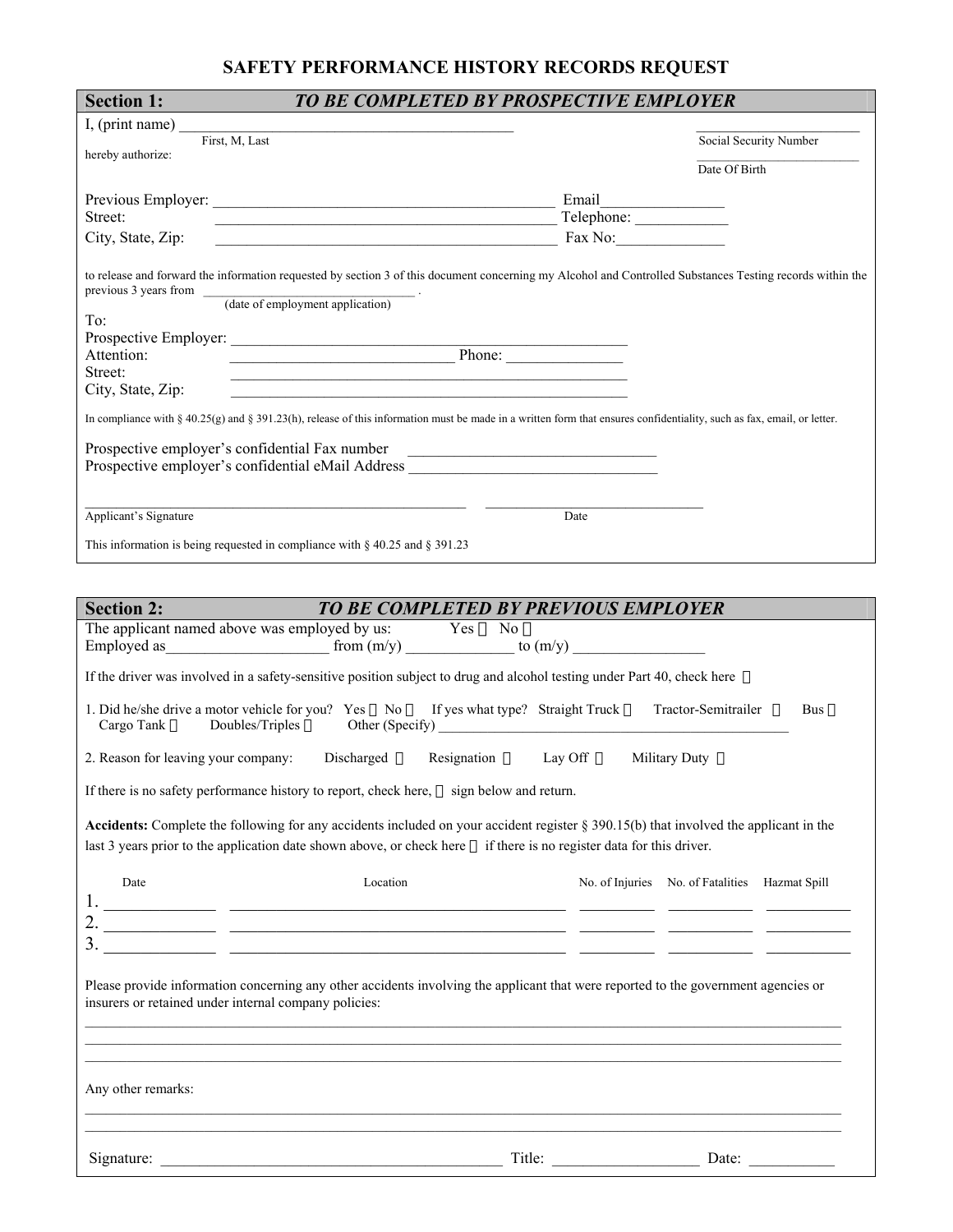# **SAFETY PERFORMANCE HISTORY RECORDS REQUEST**

| <b>Section 1:</b>                                        | TO BE COMPLETED BY PROSPECTIVE EMPLOYER                                                                                                                                                                                  |  |
|----------------------------------------------------------|--------------------------------------------------------------------------------------------------------------------------------------------------------------------------------------------------------------------------|--|
| I, (print name) $\_\_$                                   | <u> 1989 - Johann John Stone, mars eta bainar eta mondo eta erromana eta erromana eta erromana eta erromana eta </u>                                                                                                     |  |
| First, M, Last<br>hereby authorize:                      | Social Security Number                                                                                                                                                                                                   |  |
|                                                          | Date Of Birth                                                                                                                                                                                                            |  |
|                                                          |                                                                                                                                                                                                                          |  |
| Street:                                                  | $\blacksquare$ Telephone: $\blacksquare$ Telephone: $\blacksquare$                                                                                                                                                       |  |
| City, State, Zip:                                        | $\frac{1}{2}$ Fax No:                                                                                                                                                                                                    |  |
|                                                          |                                                                                                                                                                                                                          |  |
|                                                          | to release and forward the information requested by section 3 of this document concerning my Alcohol and Controlled Substances Testing records within the<br>$previous 3 years from \t (date of employment application)$ |  |
|                                                          |                                                                                                                                                                                                                          |  |
| To:                                                      |                                                                                                                                                                                                                          |  |
| Attention:                                               | Phone:                                                                                                                                                                                                                   |  |
| Street:                                                  | <u> 1989 - Johann John Stoff, deutscher Stoffen und der Stoffen und der Stoffen und der Stoffen und der Stoffen u</u>                                                                                                    |  |
| City, State, Zip:                                        |                                                                                                                                                                                                                          |  |
|                                                          | In compliance with § 40.25(g) and § 391.23(h), release of this information must be made in a written form that ensures confidentiality, such as fax, email, or letter.                                                   |  |
|                                                          |                                                                                                                                                                                                                          |  |
| Prospective employer's confidential Fax number           |                                                                                                                                                                                                                          |  |
|                                                          | Prospective employer's confidential eMail Address ______________________________                                                                                                                                         |  |
|                                                          |                                                                                                                                                                                                                          |  |
|                                                          |                                                                                                                                                                                                                          |  |
|                                                          |                                                                                                                                                                                                                          |  |
| Applicant's Signature                                    | Date                                                                                                                                                                                                                     |  |
|                                                          | This information is being requested in compliance with $\S$ 40.25 and $\S$ 391.23                                                                                                                                        |  |
|                                                          |                                                                                                                                                                                                                          |  |
|                                                          | TO BE COMPLETED BY PREVIOUS EMPLOYER                                                                                                                                                                                     |  |
|                                                          | The applicant named above was employed by us: Yes $\hat{\mathbf{E}}$ No $\hat{\mathbf{E}}$                                                                                                                               |  |
|                                                          | Employed as $\frac{1}{\text{from (m/y)}}$ from $\frac{\text{from (m/y)}}{\text{from (m/y)}}$ to $\frac{\text{to (m/y)}}{\text{to (m/y)}}$                                                                                |  |
|                                                          |                                                                                                                                                                                                                          |  |
|                                                          | If the driver was involved in a safety-sensitive position subject to drug and alcohol testing under Part 40, check here $\epsilon$                                                                                       |  |
|                                                          | 1. Did he/she drive a motor vehicle for you? Yes $\triangle$ No $\triangle$ If yes what type? Straight Truck $\triangle$ Tractor-Semitrailer $\triangle$ Bus $\triangle$                                                 |  |
|                                                          | Discharged $\boldsymbol{\epsilon}$<br>Lay Off $\epsilon$<br>Military Duty $\epsilon$<br>Resignation $\boldsymbol{\epsilon}$                                                                                              |  |
| <b>Section 2:</b><br>2. Reason for leaving your company: | If there is no safety performance history to report, check here, $\boldsymbol{\epsilon}$ sign below and return.                                                                                                          |  |
|                                                          | Accidents: Complete the following for any accidents included on your accident register $\S 390.15(b)$ that involved the applicant in the                                                                                 |  |
|                                                          | last 3 years prior to the application date shown above, or check here £ if there is no register data for this driver.                                                                                                    |  |
|                                                          |                                                                                                                                                                                                                          |  |
| Date                                                     | Location<br>No. of Injuries No. of Fatalities Hazmat Spill                                                                                                                                                               |  |
|                                                          |                                                                                                                                                                                                                          |  |
|                                                          |                                                                                                                                                                                                                          |  |
|                                                          |                                                                                                                                                                                                                          |  |
|                                                          |                                                                                                                                                                                                                          |  |
|                                                          | Please provide information concerning any other accidents involving the applicant that were reported to the government agencies or                                                                                       |  |
| insurers or retained under internal company policies:    |                                                                                                                                                                                                                          |  |

Any other remarks:

Signature: \_\_\_\_\_\_\_\_\_\_\_\_\_\_\_\_\_\_\_\_\_\_\_\_\_\_\_\_\_\_\_\_\_\_\_\_\_\_\_\_\_\_\_\_ Title: \_\_\_\_\_\_\_\_\_\_\_\_\_\_\_\_\_\_\_ Date: \_\_\_\_\_\_\_\_\_\_\_

 $\_$  , and the state of the state of the state of the state of the state of the state of the state of the state of the state of the state of the state of the state of the state of the state of the state of the state of the